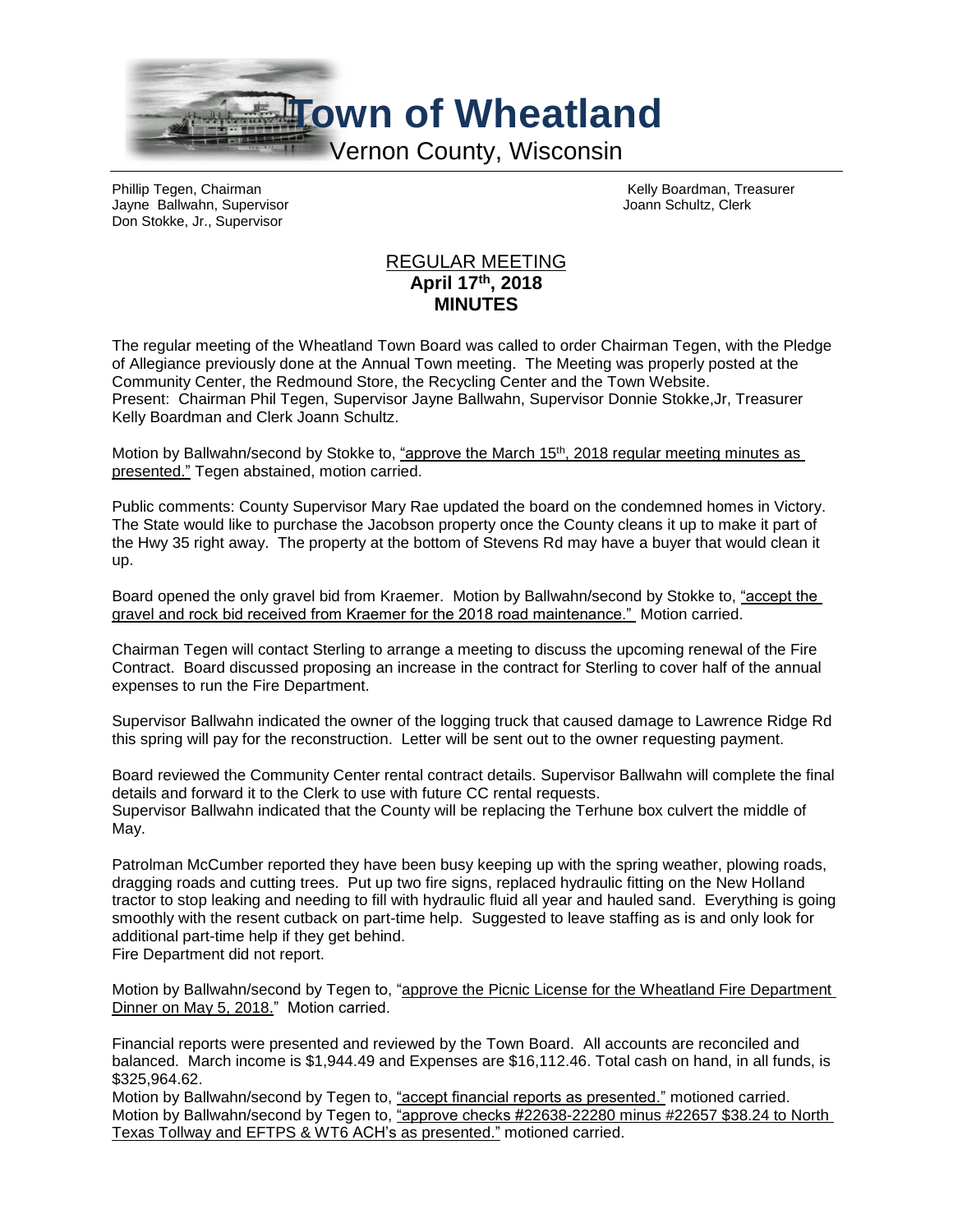

Jayne Ballwahn, Supervisor Joann Schultz, Clerk Don Stokke, Jr., Supervisor

Phillip Tegen, Chairman Kelly Boardman, Treasurer

## REGULAR MEETING **April 17th , 2018 MINUTES**

The regular meeting of the Wheatland Town Board was called to order Chairman Tegen, with the Pledge of Allegiance previously done at the Annual Town meeting. The Meeting was properly posted at the Community Center, the Redmound Store, the Recycling Center and the Town Website. Present: Chairman Phil Tegen, Supervisor Jayne Ballwahn, Supervisor Donnie Stokke,Jr, Treasurer Kelly Boardman and Clerk Joann Schultz.

Motion by Ballwahn/second by Stokke to, "approve the March 15<sup>th</sup>, 2018 regular meeting minutes as presented." Tegen abstained, motion carried.

Public comments: County Supervisor Mary Rae updated the board on the condemned homes in Victory. The State would like to purchase the Jacobson property once the County cleans it up to make it part of the Hwy 35 right away. The property at the bottom of Stevens Rd may have a buyer that would clean it up.

Board opened the only gravel bid from Kraemer. Motion by Ballwahn/second by Stokke to, "accept the gravel and rock bid received from Kraemer for the 2018 road maintenance." Motion carried.

Chairman Tegen will contact Sterling to arrange a meeting to discuss the upcoming renewal of the Fire Contract. Board discussed proposing an increase in the contract for Sterling to cover half of the annual expenses to run the Fire Department.

Supervisor Ballwahn indicated the owner of the logging truck that caused damage to Lawrence Ridge Rd this spring will pay for the reconstruction. Letter will be sent out to the owner requesting payment.

Board reviewed the Community Center rental contract details. Supervisor Ballwahn will complete the final details and forward it to the Clerk to use with future CC rental requests. Supervisor Ballwahn indicated that the County will be replacing the Terhune box culvert the middle of May.

Patrolman McCumber reported they have been busy keeping up with the spring weather, plowing roads, dragging roads and cutting trees. Put up two fire signs, replaced hydraulic fitting on the New Holland tractor to stop leaking and needing to fill with hydraulic fluid all year and hauled sand. Everything is going smoothly with the resent cutback on part-time help. Suggested to leave staffing as is and only look for additional part-time help if they get behind. Fire Department did not report.

Motion by Ballwahn/second by Tegen to, "approve the Picnic License for the Wheatland Fire Department Dinner on May 5, 2018." Motion carried.

Financial reports were presented and reviewed by the Town Board. All accounts are reconciled and balanced. March income is \$1,944.49 and Expenses are \$16,112.46. Total cash on hand, in all funds, is \$325,964.62.

Motion by Ballwahn/second by Tegen to, "accept financial reports as presented." motioned carried. Motion by Ballwahn/second by Tegen to, "approve checks #22638-22280 minus #22657 \$38.24 to North Texas Tollway and EFTPS & WT6 ACH's as presented." motioned carried.